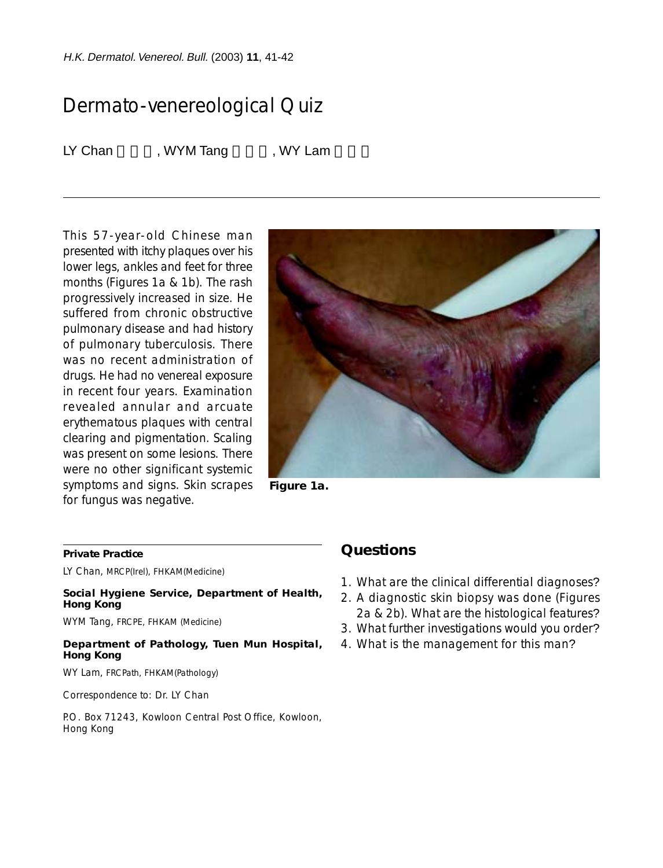H.K. Dermatol. Venereol. Bull. (2003) **11**, 41-42

# Dermato-venereological Quiz

LY Chan WYM Tang WY Lam

This 57-year-old Chinese man presented with itchy plaques over his lower legs, ankles and feet for three months (Figures 1a & 1b). The rash progressively increased in size. He suffered from chronic obstructive pulmonary disease and had history of pulmonary tuberculosis. There was no recent administration of drugs. He had no venereal exposure in recent four years. Examination revealed annular and arcuate erythematous plaques with central clearing and pigmentation. Scaling was present on some lesions. There were no other significant systemic symptoms and signs. Skin scrapes for fungus was negative.



**Figure 1a.**

#### **Private Practice**

LY Chan, MRCP(Irel), FHKAM(Medicine)

**Social Hygiene Service, Department of Health, Hong Kong**

WYM Tang, FRCPE, FHKAM (Medicine)

#### **Department of Pathology, Tuen Mun Hospital, Hong Kong**

WY Lam, FRCPath, FHKAM(Pathology)

Correspondence to: Dr. LY Chan

P.O. Box 71243, Kowloon Central Post Office, Kowloon, Hong Kong

## **Questions**

- 1. What are the clinical differential diagnoses?
- 2. A diagnostic skin biopsy was done (Figures 2a & 2b). What are the histological features?
- 3. What further investigations would you order?
- 4. What is the management for this man?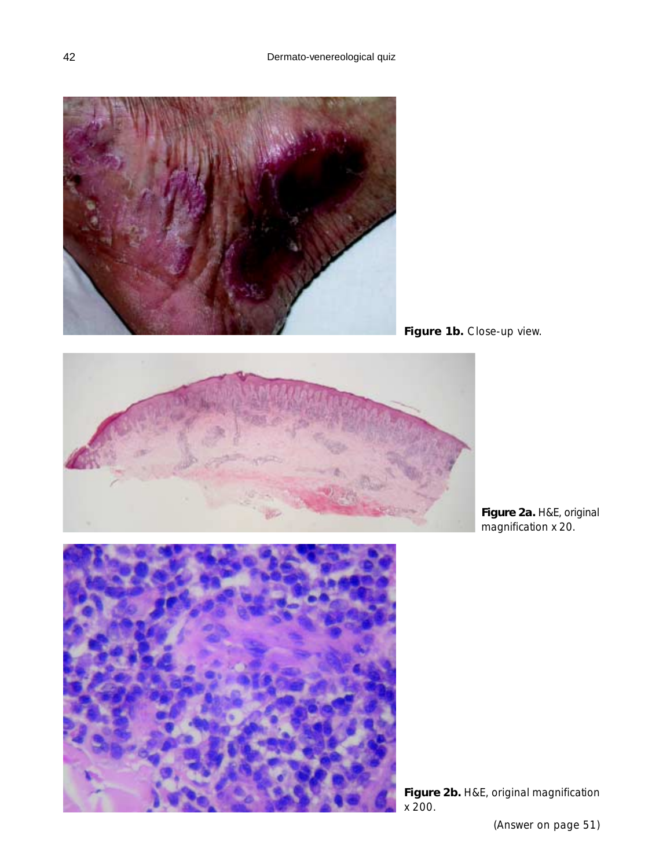

Figure 1b. Close-up view.



**Figure 2a.** H&E, original magnification x 20.



**Figure 2b.** H&E, original magnification x 200.

(Answer on page 51)